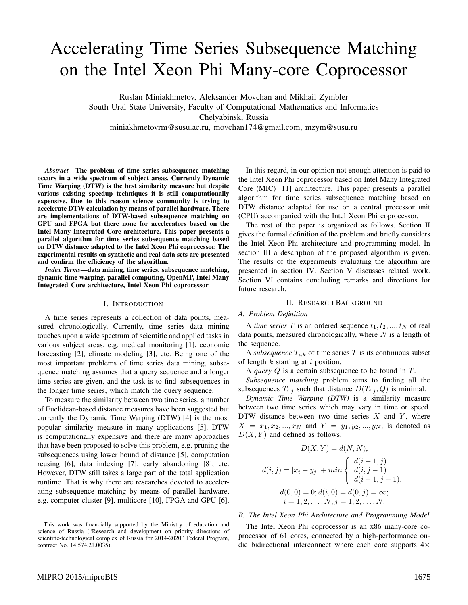# Accelerating Time Series Subsequence Matching on the Intel Xeon Phi Many-core Coprocessor

Ruslan Miniakhmetov, Aleksander Movchan and Mikhail Zymbler

South Ural State University, Faculty of Computational Mathematics and Informatics

Chelyabinsk, Russia

miniakhmetovrm@susu.ac.ru, movchan174@gmail.com, mzym@susu.ru

*Abstract*—The problem of time series subsequence matching occurs in a wide spectrum of subject areas. Currently Dynamic Time Warping (DTW) is the best similarity measure but despite various existing speedup techniques it is still computationally expensive. Due to this reason science community is trying to accelerate DTW calculation by means of parallel hardware. There are implementations of DTW-based subsequence matching on GPU and FPGA but there none for accelerators based on the Intel Many Integrated Core architecture. This paper presents a parallel algorithm for time series subsequence matching based on DTW distance adapted to the Intel Xeon Phi coprocessor. The experimental results on synthetic and real data sets are presented and confirm the efficiency of the algorithm.

*Index Terms*—data mining, time series, subsequence matching, dynamic time warping, parallel computing, OpenMP, Intel Many Integrated Core architecture, Intel Xeon Phi coprocessor

#### I. INTRODUCTION

A time series represents a collection of data points, measured chronologically. Currently, time series data mining touches upon a wide spectrum of scientific and applied tasks in various subject areas, e.g. medical monitoring [1], economic forecasting [2], climate modeling [3], etc. Being one of the most important problems of time series data mining, subsequence matching assumes that a query sequence and a longer time series are given, and the task is to find subsequences in the longer time series, which match the query sequence.

To measure the similarity between two time series, a number of Euclidean-based distance measures have been suggested but currently the Dynamic Time Warping (DTW) [4] is the most popular similarity measure in many applications [5]. DTW is computationally expensive and there are many approaches that have been proposed to solve this problem, e.g. pruning the subsequences using lower bound of distance [5], computation reusing [6], data indexing [7], early abandoning [8], etc. However, DTW still takes a large part of the total application runtime. That is why there are researches devoted to accelerating subsequence matching by means of parallel hardware, e.g. computer-cluster [9], multicore [10], FPGA and GPU [6].

In this regard, in our opinion not enough attention is paid to the Intel Xeon Phi coprocessor based on Intel Many Integrated Core (MIC) [11] architecture. This paper presents a parallel algorithm for time series subsequence matching based on DTW distance adapted for use on a central processor unit (CPU) accompanied with the Intel Xeon Phi coprocessor.

The rest of the paper is organized as follows. Section II gives the formal definition of the problem and briefly considers the Intel Xeon Phi architecture and programming model. In section III a description of the proposed algorithm is given. The results of the experiments evaluating the algorithm are presented in section IV. Section V discusses related work. Section VI contains concluding remarks and directions for future research.

## II. RESEARCH BACKGROUND

## *A. Problem Definition*

A *time series* T is an ordered sequence  $t_1, t_2, ..., t_N$  of real data points, measured chronologically, where  $N$  is a length of the sequence.

A *subsequence*  $T_{i,k}$  of time series  $T$  is its continuous subset of length  $k$  starting at  $i$  position.

A *query* Q is a certain subsequence to be found in T.

*Subsequence matching* problem aims to finding all the subsequences  $T_{i,j}$  such that distance  $D(T_{i,j}, Q)$  is minimal.

*Dynamic Time Warping (DTW)* is a similarity measure between two time series which may vary in time or speed. DTW distance between two time series  $X$  and  $Y$ , where  $X = x_1, x_2, ..., x_N$  and  $Y = y_1, y_2, ..., y_N$ , is denoted as  $D(X, Y)$  and defined as follows.

$$
D(X, Y) = d(N, N),
$$
  
\n
$$
d(i, j) = |x_i - y_j| + min \begin{cases} d(i - 1, j) \\ d(i, j - 1) \\ d(i - 1, j - 1), \end{cases}
$$
  
\n
$$
d(0, 0) = 0; d(i, 0) = d(0, j) = \infty;
$$
  
\n
$$
i = 1, 2, ..., N; j = 1, 2, ..., N.
$$

## *B. The Intel Xeon Phi Architecture and Programming Model*

The Intel Xeon Phi coprocessor is an x86 many-core coprocessor of 61 cores, connected by a high-performance ondie bidirectional interconnect where each core supports  $4\times$ 

This work was financially supported by the Ministry of education and science of Russia ("Research and development on priority directions of scientific-technological complex of Russia for 2014-2020" Federal Program, contract No. 14.574.21.0035).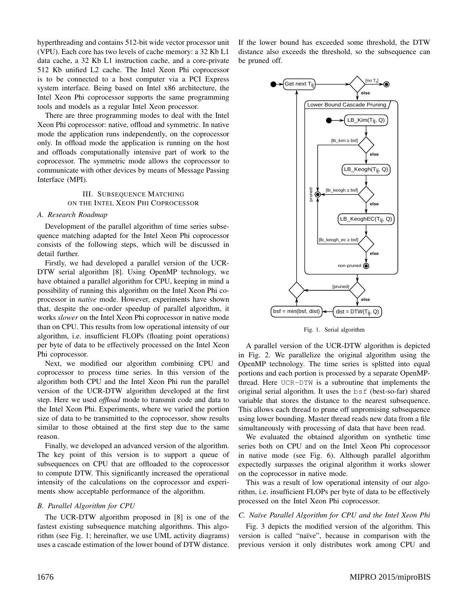hyperthreading and contains 512-bit wide vector processor unit (VPU). Each core has two levels of cache memory: a 32 Kb L1 data cache, a 32 Kb L1 instruction cache, and a core-private 512 Kb unified L2 cache. The Intel Xeon Phi coprocessor is to be connected to a host computer via a PCI Express system interface. Being based on Intel x86 architecture, the Intel Xeon Phi coprocessor supports the same programming tools and models as a regular Intel Xeon processor.

There are three programming modes to deal with the Intel Xeon Phi coprocessor: native, offload and symmetric. In native mode the application runs independently, on the coprocessor only. In offload mode the application is running on the host and offloads computationally intensive part of work to the coprocessor. The symmetric mode allows the coprocessor to communicate with other devices by means of Message Passing Interface (MPI).

## III. SUBSEQUENCE MATCHING ON THE INTEL XEON PHI COPROCESSOR

## *A. Research Roadmap*

Development of the parallel algorithm of time series subsequence matching adapted for the Intel Xeon Phi coprocessor consists of the following steps, which will be discussed in detail further.

Firstly, we had developed a parallel version of the UCR-DTW serial algorithm [8]. Using OpenMP technology, we have obtained a parallel algorithm for CPU, keeping in mind a possibility of running this algorithm on the Intel Xeon Phi coprocessor in *native* mode. However, experiments have shown that, despite the one-order speedup of parallel algorithm, it works *slower* on the Intel Xeon Phi coprocessor in native mode than on CPU. This results from low operational intensity of our algorithm, i.e. insufficient FLOPs (floating point operations) per byte of data to be effectively processed on the Intel Xeon Phi coprocessor.

Next, we modified our algorithm combining CPU and coprocessor to process time series. In this version of the algorithm both CPU and the Intel Xeon Phi run the parallel version of the UCR-DTW algorithm developed at the first step. Here we used *offload* mode to transmit code and data to the Intel Xeon Phi. Experiments, where we varied the portion size of data to be transmitted to the coprocessor, show results similar to those obtained at the first step due to the same reason.

Finally, we developed an advanced version of the algorithm. The key point of this version is to support a queue of subsequences on CPU that are offloaded to the coprocessor to compute DTW. This significantly increased the operational intensity of the calculations on the coprocessor and experiments show acceptable performance of the algorithm.

### *B. Parallel Algorithm for CPU*

The UCR-DTW algorithm proposed in [8] is one of the fastest existing subsequence matching algorithms. This algorithm (see Fig. 1; hereinafter, we use UML activity diagrams) uses a cascade estimation of the lower bound of DTW distance. If the lower bound has exceeded some threshold, the DTW distance also exceeds the threshold, so the subsequence can be pruned off.



Fig. 1. Serial algorithm

A parallel version of the UCR-DTW algorithm is depicted in Fig. 2. We parallelize the original algorithm using the OpenMP technology. The time series is splitted into equal portions and each portion is processed by a separate OpenMPthread. Here UCR-DTW is a subroutine that implements the original serial algorithm. It uses the bsf (best-so-far) shared variable that stores the distance to the nearest subsequence. This allows each thread to prune off unpromising subsequence using lower bounding. Master thread reads new data from a file simultaneously with processing of data that have been read.

We evaluated the obtained algorithm on synthetic time series both on CPU and on the Intel Xeon Phi coprocessor in native mode (see Fig. 6). Although parallel algorithm expectedly surpasses the original algorithm it works slower on the coprocessor in native mode.

This was a result of low operational intensity of our algorithm, i.e. insufficient FLOPs per byte of data to be effectively processed on the Intel Xeon Phi coprocessor.

## *C. Na¨ıve Parallel Algorithm for CPU and the Intel Xeon Phi*

Fig. 3 depicts the modified version of the algorithm. This version is called "naïve", because in comparison with the previous version it only distributes work among CPU and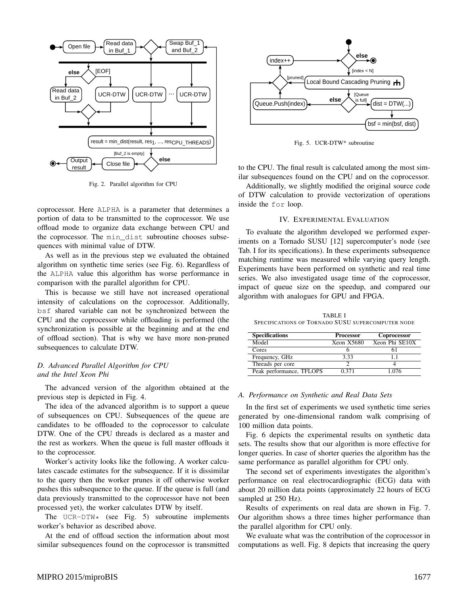

Fig. 2. Parallel algorithm for CPU

coprocessor. Here ALPHA is a parameter that determines a portion of data to be transmitted to the coprocessor. We use offload mode to organize data exchange between CPU and the coprocessor. The min\_dist subroutine chooses subsequences with minimal value of DTW.

As well as in the previous step we evaluated the obtained algorithm on synthetic time series (see Fig. 6). Regardless of the ALPHA value this algorithm has worse performance in comparison with the parallel algorithm for CPU.

This is because we still have not increased operational intensity of calculations on the coprocessor. Additionally, bsf shared variable can not be synchronized between the CPU and the coprocessor while offloading is performed (the synchronization is possible at the beginning and at the end of offload section). That is why we have more non-pruned subsequences to calculate DTW.

## *D. Advanced Parallel Algorithm for CPU and the Intel Xeon Phi*

The advanced version of the algorithm obtained at the previous step is depicted in Fig. 4.

The idea of the advanced algorithm is to support a queue of subsequences on CPU. Subsequences of the queue are candidates to be offloaded to the coprocessor to calculate DTW. One of the CPU threads is declared as a master and the rest as workers. When the queue is full master offloads it to the coprocessor.

Worker's activity looks like the following. A worker calculates cascade estimates for the subsequence. If it is dissimilar to the query then the worker prunes it off otherwise worker pushes this subsequence to the queue. If the queue is full (and data previously transmitted to the coprocessor have not been processed yet), the worker calculates DTW by itself.

The UCR-DTW $\star$  (see Fig. 5) subroutine implements worker's behavior as described above.

At the end of offload section the information about most similar subsequences found on the coprocessor is transmitted



Fig. 5. UCR-DTW\* subroutine

to the CPU. The final result is calculated among the most similar subsequences found on the CPU and on the coprocessor.

Additionally, we slightly modified the original source code of DTW calculation to provide vectorization of operations inside the for loop.

## IV. EXPERIMENTAL EVALUATION

To evaluate the algorithm developed we performed experiments on a Tornado SUSU [12] supercomputer's node (see Tab. I for its specifications). In these experiments subsequence matching runtime was measured while varying query length. Experiments have been performed on synthetic and real time series. We also investigated usage time of the coprocessor, impact of queue size on the speedup, and compared our algorithm with analogues for GPU and FPGA.

TABLE I SPECIFICATIONS OF TORNADO SUSU SUPERCOMPUTER NODE

| <b>Specifications</b>    | <b>Processor</b> | Coprocessor    |
|--------------------------|------------------|----------------|
| Model                    | Xeon X5680       | Xeon Phi SE10X |
| Cores                    |                  |                |
| Frequency, GHz           | 3.33             |                |
| Threads per core         |                  |                |
| Peak performance, TFLOPS | 0.371            | 1.076          |

## *A. Performance on Synthetic and Real Data Sets*

In the first set of experiments we used synthetic time series generated by one-dimensional random walk comprising of 100 million data points.

Fig. 6 depicts the experimental results on synthetic data sets. The results show that our algorithm is more effective for longer queries. In case of shorter queries the algorithm has the same performance as parallel algorithm for CPU only.

The second set of experiments investigates the algorithm's performance on real electrocardiographic (ECG) data with about 20 million data points (approximately 22 hours of ECG sampled at 250 Hz).

Results of experiments on real data are shown in Fig. 7. Our algorithm shows a three times higher performance than the parallel algorithm for CPU only.

We evaluate what was the contribution of the coprocessor in computations as well. Fig. 8 depicts that increasing the query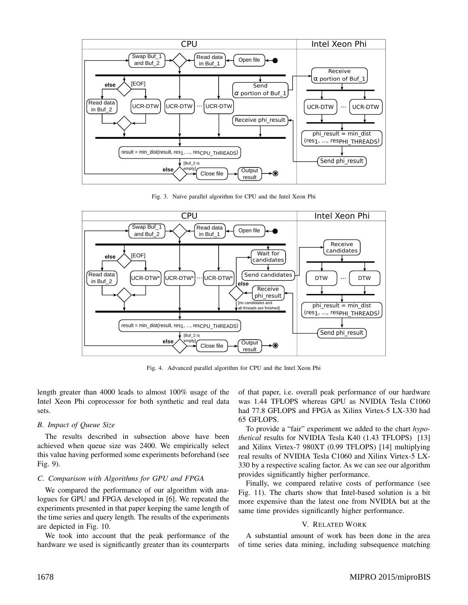

Fig. 3. Naïve parallel algorithm for CPU and the Intel Xeon Phi



Fig. 4. Advanced parallel algorithm for CPU and the Intel Xeon Phi

length greater than 4000 leads to almost 100% usage of the Intel Xeon Phi coprocessor for both synthetic and real data sets.

## *B. Impact of Queue Size*

The results described in subsection above have been achieved when queue size was 2400. We empirically select this value having performed some experiments beforehand (see Fig. 9).

## *C. Comparison with Algorithms for GPU and FPGA*

We compared the performance of our algorithm with analogues for GPU and FPGA developed in [6]. We repeated the experiments presented in that paper keeping the same length of the time series and query length. The results of the experiments are depicted in Fig. 10.

We took into account that the peak performance of the hardware we used is significantly greater than its counterparts of that paper, i.e. overall peak performance of our hardware was 1.44 TFLOPS whereas GPU as NVIDIA Tesla C1060 had 77.8 GFLOPS and FPGA as Xilinx Virtex-5 LX-330 had 65 GFLOPS.

To provide a "fair" experiment we added to the chart *hypothetical* results for NVIDIA Tesla K40 (1.43 TFLOPS) [13] and Xilinx Virtex-7 980XT (0.99 TFLOPS) [14] multiplying real results of NVIDIA Tesla C1060 and Xilinx Virtex-5 LX-330 by a respective scaling factor. As we can see our algorithm provides significantly higher performance.

Finally, we compared relative costs of performance (see Fig. 11). The charts show that Intel-based solution is a bit more expensive than the latest one from NVIDIA but at the same time provides significantly higher performance.

## V. RELATED WORK

A substantial amount of work has been done in the area of time series data mining, including subsequence matching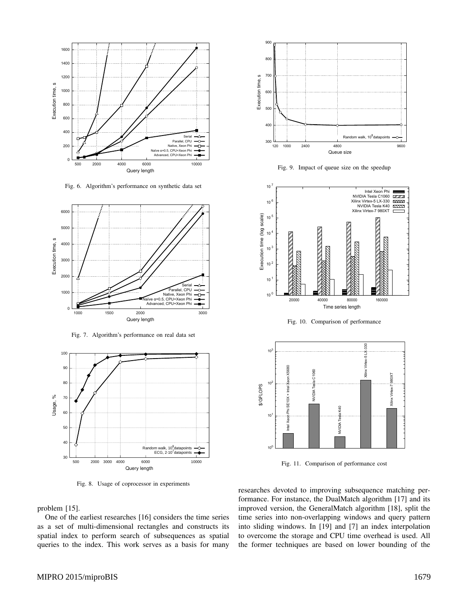

Fig. 6. Algorithm's performance on synthetic data set



Fig. 7. Algorithm's performance on real data set



Fig. 8. Usage of coprocessor in experiments

problem [15].

One of the earliest researches [16] considers the time series as a set of multi-dimensional rectangles and constructs its spatial index to perform search of subsequences as spatial queries to the index. This work serves as a basis for many



Fig. 9. Impact of queue size on the speedup



Fig. 10. Comparison of performance



Fig. 11. Comparison of performance cost

researches devoted to improving subsequence matching performance. For instance, the DualMatch algorithm [17] and its improved version, the GeneralMatch algorithm [18], split the time series into non-overlapping windows and query pattern into sliding windows. In [19] and [7] an index interpolation to overcome the storage and CPU time overhead is used. All the former techniques are based on lower bounding of the